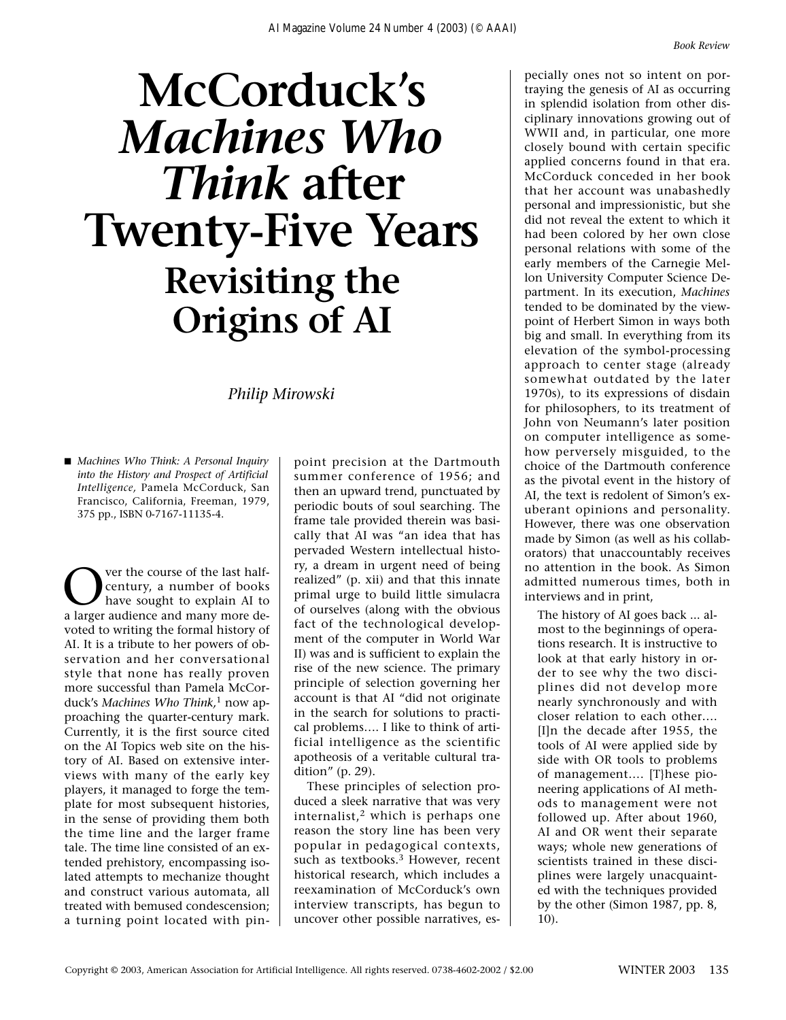## **McCorduck's**  *Machines Who Think* **after Twenty-Five Years Revisiting the Origins of AI**

*Philip Mirowski*

■ *Machines Who Think: A Personal Inquiry into the History and Prospect of Artificial Intelligence,* Pamela McCorduck, San Francisco, California, Freeman, 1979, 375 pp., ISBN 0-7167-11135-4.

Over the course of the last half-<br>
century, a number of books<br>
have sought to explain AI to<br>
a larger audience and many more decentury, a number of books a larger audience and many more devoted to writing the formal history of AI. It is a tribute to her powers of observation and her conversational style that none has really proven more successful than Pamela McCorduck's *Machines Who Think,*<sup>1</sup> now approaching the quarter-century mark. Currently, it is the first source cited on the AI Topics web site on the history of AI. Based on extensive interviews with many of the early key players, it managed to forge the template for most subsequent histories, in the sense of providing them both the time line and the larger frame tale. The time line consisted of an extended prehistory, encompassing isolated attempts to mechanize thought and construct various automata, all treated with bemused condescension; a turning point located with pinpoint precision at the Dartmouth summer conference of 1956; and then an upward trend, punctuated by periodic bouts of soul searching. The frame tale provided therein was basically that AI was "an idea that has pervaded Western intellectual history, a dream in urgent need of being realized" (p. xii) and that this innate primal urge to build little simulacra of ourselves (along with the obvious fact of the technological development of the computer in World War II) was and is sufficient to explain the rise of the new science. The primary principle of selection governing her account is that AI "did not originate in the search for solutions to practical problems…. I like to think of artificial intelligence as the scientific apotheosis of a veritable cultural tradition" (p. 29).

These principles of selection produced a sleek narrative that was very internalist, $2$  which is perhaps one reason the story line has been very popular in pedagogical contexts, such as textbooks.<sup>3</sup> However, recent historical research, which includes a reexamination of McCorduck's own interview transcripts, has begun to uncover other possible narratives, especially ones not so intent on portraying the genesis of AI as occurring in splendid isolation from other disciplinary innovations growing out of WWII and, in particular, one more closely bound with certain specific applied concerns found in that era. McCorduck conceded in her book that her account was unabashedly personal and impressionistic, but she did not reveal the extent to which it had been colored by her own close personal relations with some of the early members of the Carnegie Mellon University Computer Science Department. In its execution, *Machines* tended to be dominated by the viewpoint of Herbert Simon in ways both big and small. In everything from its elevation of the symbol-processing approach to center stage (already somewhat outdated by the later 1970s), to its expressions of disdain for philosophers, to its treatment of John von Neumann's later position on computer intelligence as somehow perversely misguided, to the choice of the Dartmouth conference as the pivotal event in the history of AI, the text is redolent of Simon's exuberant opinions and personality. However, there was one observation made by Simon (as well as his collaborators) that unaccountably receives no attention in the book. As Simon admitted numerous times, both in interviews and in print,

The history of AI goes back ... almost to the beginnings of operations research. It is instructive to look at that early history in order to see why the two disciplines did not develop more nearly synchronously and with closer relation to each other…. [I]n the decade after 1955, the tools of AI were applied side by side with OR tools to problems of management…. [T}hese pioneering applications of AI methods to management were not followed up. After about 1960, AI and OR went their separate ways; whole new generations of scientists trained in these disciplines were largely unacquainted with the techniques provided by the other (Simon 1987, pp. 8, 10).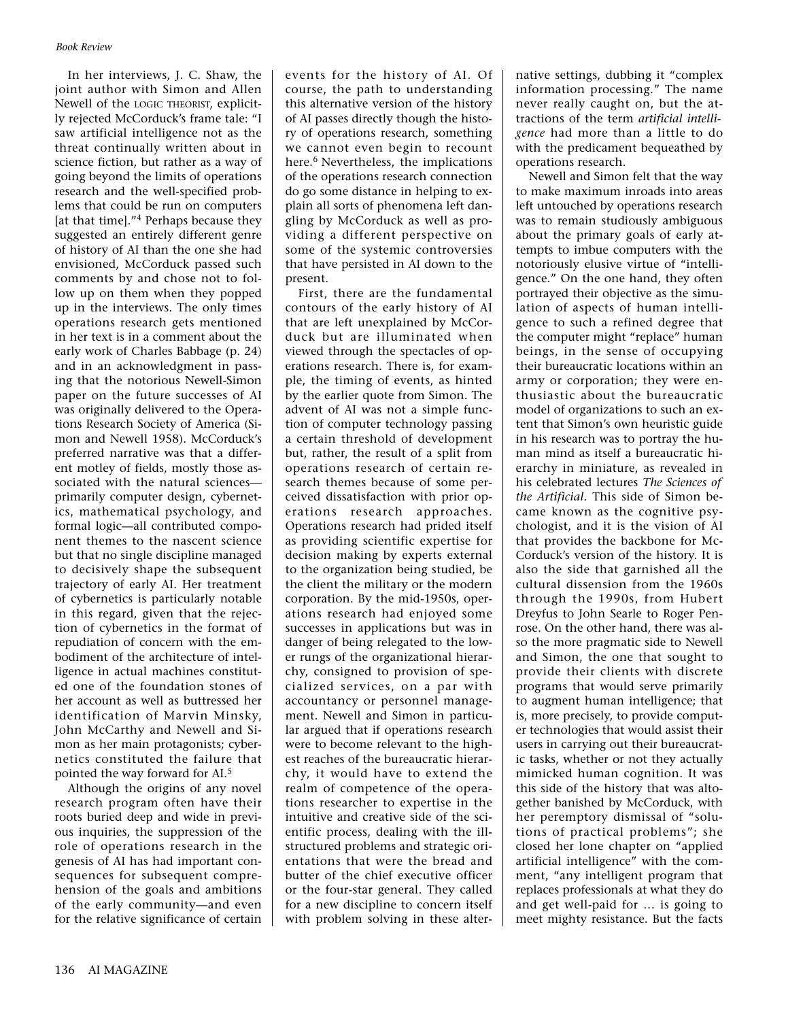In her interviews, J. C. Shaw, the joint author with Simon and Allen Newell of the LOGIC THEORIST, explicitly rejected McCorduck's frame tale: "I saw artificial intelligence not as the threat continually written about in science fiction, but rather as a way of going beyond the limits of operations research and the well-specified problems that could be run on computers [at that time]."<sup>4</sup> Perhaps because they suggested an entirely different genre of history of AI than the one she had envisioned, McCorduck passed such comments by and chose not to follow up on them when they popped up in the interviews. The only times operations research gets mentioned in her text is in a comment about the early work of Charles Babbage (p. 24) and in an acknowledgment in passing that the notorious Newell-Simon paper on the future successes of AI was originally delivered to the Operations Research Society of America (Simon and Newell 1958). McCorduck's preferred narrative was that a different motley of fields, mostly those associated with the natural sciences primarily computer design, cybernetics, mathematical psychology, and formal logic—all contributed component themes to the nascent science but that no single discipline managed to decisively shape the subsequent trajectory of early AI. Her treatment of cybernetics is particularly notable in this regard, given that the rejection of cybernetics in the format of repudiation of concern with the embodiment of the architecture of intelligence in actual machines constituted one of the foundation stones of her account as well as buttressed her identification of Marvin Minsky, John McCarthy and Newell and Simon as her main protagonists; cybernetics constituted the failure that pointed the way forward for AI.5

Although the origins of any novel research program often have their roots buried deep and wide in previous inquiries, the suppression of the role of operations research in the genesis of AI has had important consequences for subsequent comprehension of the goals and ambitions of the early community—and even for the relative significance of certain

events for the history of AI. Of course, the path to understanding this alternative version of the history of AI passes directly though the history of operations research, something we cannot even begin to recount here.<sup>6</sup> Nevertheless, the implications of the operations research connection do go some distance in helping to explain all sorts of phenomena left dangling by McCorduck as well as providing a different perspective on some of the systemic controversies that have persisted in AI down to the present.

First, there are the fundamental contours of the early history of AI that are left unexplained by McCorduck but are illuminated when viewed through the spectacles of operations research. There is, for example, the timing of events, as hinted by the earlier quote from Simon. The advent of AI was not a simple function of computer technology passing a certain threshold of development but, rather, the result of a split from operations research of certain research themes because of some perceived dissatisfaction with prior operations research approaches. Operations research had prided itself as providing scientific expertise for decision making by experts external to the organization being studied, be the client the military or the modern corporation. By the mid-1950s, operations research had enjoyed some successes in applications but was in danger of being relegated to the lower rungs of the organizational hierarchy, consigned to provision of specialized services, on a par with accountancy or personnel management. Newell and Simon in particular argued that if operations research were to become relevant to the highest reaches of the bureaucratic hierarchy, it would have to extend the realm of competence of the operations researcher to expertise in the intuitive and creative side of the scientific process, dealing with the illstructured problems and strategic orientations that were the bread and butter of the chief executive officer or the four-star general. They called for a new discipline to concern itself with problem solving in these alternative settings, dubbing it "complex information processing." The name never really caught on, but the attractions of the term *artificial intelligence* had more than a little to do with the predicament bequeathed by operations research.

Newell and Simon felt that the way to make maximum inroads into areas left untouched by operations research was to remain studiously ambiguous about the primary goals of early attempts to imbue computers with the notoriously elusive virtue of "intelligence." On the one hand, they often portrayed their objective as the simulation of aspects of human intelligence to such a refined degree that the computer might "replace" human beings, in the sense of occupying their bureaucratic locations within an army or corporation; they were enthusiastic about the bureaucratic model of organizations to such an extent that Simon's own heuristic guide in his research was to portray the human mind as itself a bureaucratic hierarchy in miniature, as revealed in his celebrated lectures *The Sciences of the Artificial.* This side of Simon became known as the cognitive psychologist, and it is the vision of AI that provides the backbone for Mc-Corduck's version of the history. It is also the side that garnished all the cultural dissension from the 1960s through the 1990s, from Hubert Dreyfus to John Searle to Roger Penrose. On the other hand, there was also the more pragmatic side to Newell and Simon, the one that sought to provide their clients with discrete programs that would serve primarily to augment human intelligence; that is, more precisely, to provide computer technologies that would assist their users in carrying out their bureaucratic tasks, whether or not they actually mimicked human cognition. It was this side of the history that was altogether banished by McCorduck, with her peremptory dismissal of "solutions of practical problems"; she closed her lone chapter on "applied artificial intelligence" with the comment, "any intelligent program that replaces professionals at what they do and get well-paid for … is going to meet mighty resistance. But the facts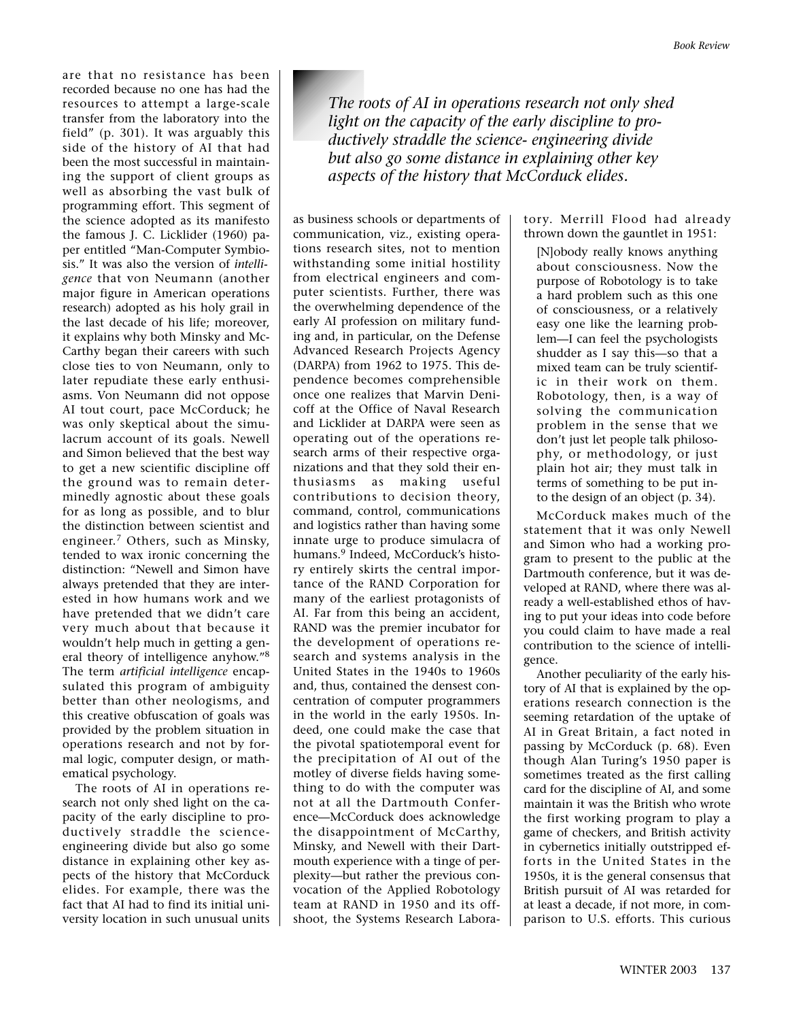are that no resistance has been recorded because no one has had the resources to attempt a large-scale transfer from the laboratory into the field" (p. 301). It was arguably this side of the history of AI that had been the most successful in maintaining the support of client groups as well as absorbing the vast bulk of programming effort. This segment of the science adopted as its manifesto the famous J. C. Licklider (1960) paper entitled "Man-Computer Symbiosis." It was also the version of *intelligence* that von Neumann (another major figure in American operations research) adopted as his holy grail in the last decade of his life; moreover, it explains why both Minsky and Mc-Carthy began their careers with such close ties to von Neumann, only to later repudiate these early enthusiasms. Von Neumann did not oppose AI tout court, pace McCorduck; he was only skeptical about the simulacrum account of its goals. Newell and Simon believed that the best way to get a new scientific discipline off the ground was to remain determinedly agnostic about these goals for as long as possible, and to blur the distinction between scientist and engineer.<sup>7</sup> Others, such as Minsky, tended to wax ironic concerning the distinction: "Newell and Simon have always pretended that they are interested in how humans work and we have pretended that we didn't care very much about that because it wouldn't help much in getting a general theory of intelligence anyhow."8 The term *artificial intelligence* encapsulated this program of ambiguity better than other neologisms, and this creative obfuscation of goals was provided by the problem situation in operations research and not by formal logic, computer design, or mathematical psychology.

The roots of AI in operations research not only shed light on the capacity of the early discipline to productively straddle the scienceengineering divide but also go some distance in explaining other key aspects of the history that McCorduck elides. For example, there was the fact that AI had to find its initial university location in such unusual units

*The roots of AI in operations research not only shed light on the capacity of the early discipline to productively straddle the science- engineering divide but also go some distance in explaining other key aspects of the history that McCorduck elides.*

as business schools or departments of communication, viz., existing operations research sites, not to mention withstanding some initial hostility from electrical engineers and computer scientists. Further, there was the overwhelming dependence of the early AI profession on military funding and, in particular, on the Defense Advanced Research Projects Agency (DARPA) from 1962 to 1975. This dependence becomes comprehensible once one realizes that Marvin Denicoff at the Office of Naval Research and Licklider at DARPA were seen as operating out of the operations research arms of their respective organizations and that they sold their enthusiasms as making useful contributions to decision theory, command, control, communications and logistics rather than having some innate urge to produce simulacra of humans.<sup>9</sup> Indeed, McCorduck's history entirely skirts the central importance of the RAND Corporation for many of the earliest protagonists of AI. Far from this being an accident, RAND was the premier incubator for the development of operations research and systems analysis in the United States in the 1940s to 1960s and, thus, contained the densest concentration of computer programmers in the world in the early 1950s. Indeed, one could make the case that the pivotal spatiotemporal event for the precipitation of AI out of the motley of diverse fields having something to do with the computer was not at all the Dartmouth Conference—McCorduck does acknowledge the disappointment of McCarthy, Minsky, and Newell with their Dartmouth experience with a tinge of perplexity—but rather the previous convocation of the Applied Robotology team at RAND in 1950 and its offshoot, the Systems Research Laboratory. Merrill Flood had already thrown down the gauntlet in 1951:

[N]obody really knows anything about consciousness. Now the purpose of Robotology is to take a hard problem such as this one of consciousness, or a relatively easy one like the learning problem—I can feel the psychologists shudder as I say this—so that a mixed team can be truly scientific in their work on them. Robotology, then, is a way of solving the communication problem in the sense that we don't just let people talk philosophy, or methodology, or just plain hot air; they must talk in terms of something to be put into the design of an object (p. 34).

McCorduck makes much of the statement that it was only Newell and Simon who had a working program to present to the public at the Dartmouth conference, but it was developed at RAND, where there was already a well-established ethos of having to put your ideas into code before you could claim to have made a real contribution to the science of intelligence.

Another peculiarity of the early history of AI that is explained by the operations research connection is the seeming retardation of the uptake of AI in Great Britain, a fact noted in passing by McCorduck (p. 68). Even though Alan Turing's 1950 paper is sometimes treated as the first calling card for the discipline of AI, and some maintain it was the British who wrote the first working program to play a game of checkers, and British activity in cybernetics initially outstripped efforts in the United States in the 1950s, it is the general consensus that British pursuit of AI was retarded for at least a decade, if not more, in comparison to U.S. efforts. This curious